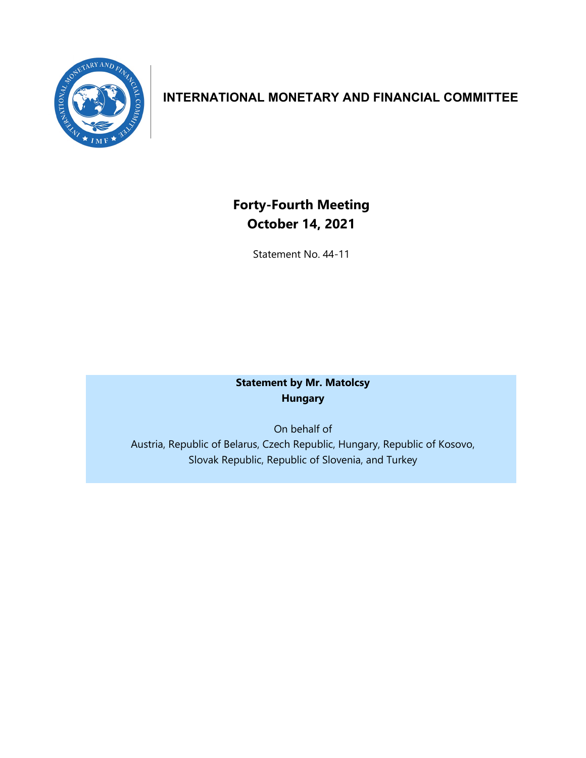

## **INTERNATIONAL MONETARY AND FINANCIAL COMMITTEE**

# **Forty-Fourth Meeting October 14, 2021**

Statement No. 44-11

### **Statement by Mr. Matolcsy Hungary**

On behalf of Austria, Republic of Belarus, Czech Republic, Hungary, Republic of Kosovo, Slovak Republic, Republic of Slovenia, and Turkey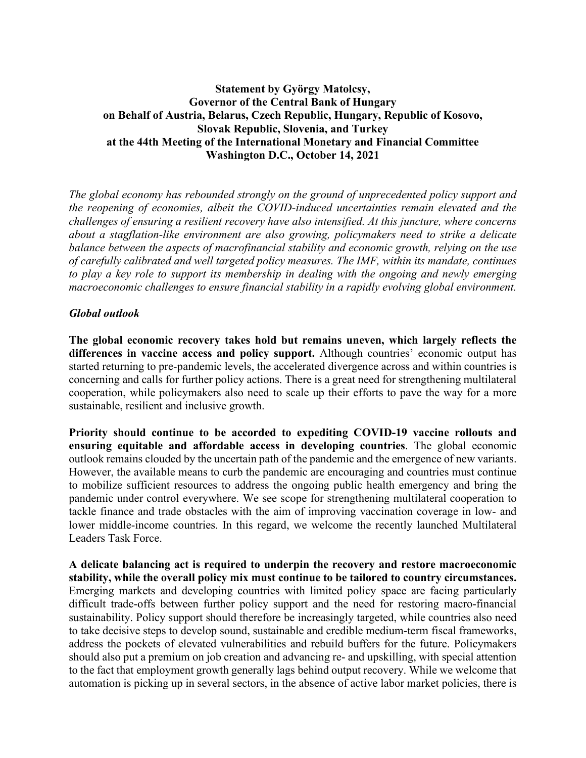#### **Statement by György Matolcsy, Governor of the Central Bank of Hungary on Behalf of Austria, Belarus, Czech Republic, Hungary, Republic of Kosovo, Slovak Republic, Slovenia, and Turkey at the 44th Meeting of the International Monetary and Financial Committee Washington D.C., October 14, 2021**

*The global economy has rebounded strongly on the ground of unprecedented policy support and the reopening of economies, albeit the COVID-induced uncertainties remain elevated and the challenges of ensuring a resilient recovery have also intensified. At this juncture, where concerns about a stagflation-like environment are also growing, policymakers need to strike a delicate balance between the aspects of macrofinancial stability and economic growth, relying on the use of carefully calibrated and well targeted policy measures. The IMF, within its mandate, continues to play a key role to support its membership in dealing with the ongoing and newly emerging macroeconomic challenges to ensure financial stability in a rapidly evolving global environment.* 

#### *Global outlook*

**The global economic recovery takes hold but remains uneven, which largely reflects the differences in vaccine access and policy support.** Although countries' economic output has started returning to pre-pandemic levels, the accelerated divergence across and within countries is concerning and calls for further policy actions. There is a great need for strengthening multilateral cooperation, while policymakers also need to scale up their efforts to pave the way for a more sustainable, resilient and inclusive growth.

**Priority should continue to be accorded to expediting COVID-19 vaccine rollouts and ensuring equitable and affordable access in developing countries**. The global economic outlook remains clouded by the uncertain path of the pandemic and the emergence of new variants. However, the available means to curb the pandemic are encouraging and countries must continue to mobilize sufficient resources to address the ongoing public health emergency and bring the pandemic under control everywhere. We see scope for strengthening multilateral cooperation to tackle finance and trade obstacles with the aim of improving vaccination coverage in low- and lower middle-income countries. In this regard, we welcome the recently launched Multilateral Leaders Task Force.

**A delicate balancing act is required to underpin the recovery and restore macroeconomic stability, while the overall policy mix must continue to be tailored to country circumstances.**  Emerging markets and developing countries with limited policy space are facing particularly difficult trade-offs between further policy support and the need for restoring macro-financial sustainability. Policy support should therefore be increasingly targeted, while countries also need to take decisive steps to develop sound, sustainable and credible medium-term fiscal frameworks, address the pockets of elevated vulnerabilities and rebuild buffers for the future. Policymakers should also put a premium on job creation and advancing re- and upskilling, with special attention to the fact that employment growth generally lags behind output recovery. While we welcome that automation is picking up in several sectors, in the absence of active labor market policies, there is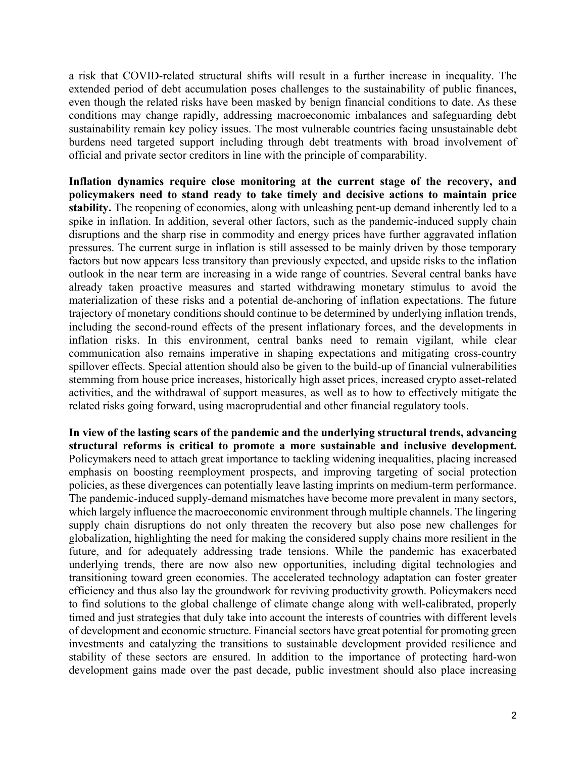a risk that COVID-related structural shifts will result in a further increase in inequality. The extended period of debt accumulation poses challenges to the sustainability of public finances, even though the related risks have been masked by benign financial conditions to date. As these conditions may change rapidly, addressing macroeconomic imbalances and safeguarding debt sustainability remain key policy issues. The most vulnerable countries facing unsustainable debt burdens need targeted support including through debt treatments with broad involvement of official and private sector creditors in line with the principle of comparability.

**Inflation dynamics require close monitoring at the current stage of the recovery, and policymakers need to stand ready to take timely and decisive actions to maintain price stability.** The reopening of economies, along with unleashing pent-up demand inherently led to a spike in inflation. In addition, several other factors, such as the pandemic-induced supply chain disruptions and the sharp rise in commodity and energy prices have further aggravated inflation pressures. The current surge in inflation is still assessed to be mainly driven by those temporary factors but now appears less transitory than previously expected, and upside risks to the inflation outlook in the near term are increasing in a wide range of countries. Several central banks have already taken proactive measures and started withdrawing monetary stimulus to avoid the materialization of these risks and a potential de-anchoring of inflation expectations. The future trajectory of monetary conditions should continue to be determined by underlying inflation trends, including the second-round effects of the present inflationary forces, and the developments in inflation risks. In this environment, central banks need to remain vigilant, while clear communication also remains imperative in shaping expectations and mitigating cross-country spillover effects. Special attention should also be given to the build-up of financial vulnerabilities stemming from house price increases, historically high asset prices, increased crypto asset-related activities, and the withdrawal of support measures, as well as to how to effectively mitigate the related risks going forward, using macroprudential and other financial regulatory tools.

**In view of the lasting scars of the pandemic and the underlying structural trends, advancing structural reforms is critical to promote a more sustainable and inclusive development.**  Policymakers need to attach great importance to tackling widening inequalities, placing increased emphasis on boosting reemployment prospects, and improving targeting of social protection policies, as these divergences can potentially leave lasting imprints on medium-term performance. The pandemic-induced supply-demand mismatches have become more prevalent in many sectors, which largely influence the macroeconomic environment through multiple channels. The lingering supply chain disruptions do not only threaten the recovery but also pose new challenges for globalization, highlighting the need for making the considered supply chains more resilient in the future, and for adequately addressing trade tensions. While the pandemic has exacerbated underlying trends, there are now also new opportunities, including digital technologies and transitioning toward green economies. The accelerated technology adaptation can foster greater efficiency and thus also lay the groundwork for reviving productivity growth. Policymakers need to find solutions to the global challenge of climate change along with well-calibrated, properly timed and just strategies that duly take into account the interests of countries with different levels of development and economic structure. Financial sectors have great potential for promoting green investments and catalyzing the transitions to sustainable development provided resilience and stability of these sectors are ensured. In addition to the importance of protecting hard-won development gains made over the past decade, public investment should also place increasing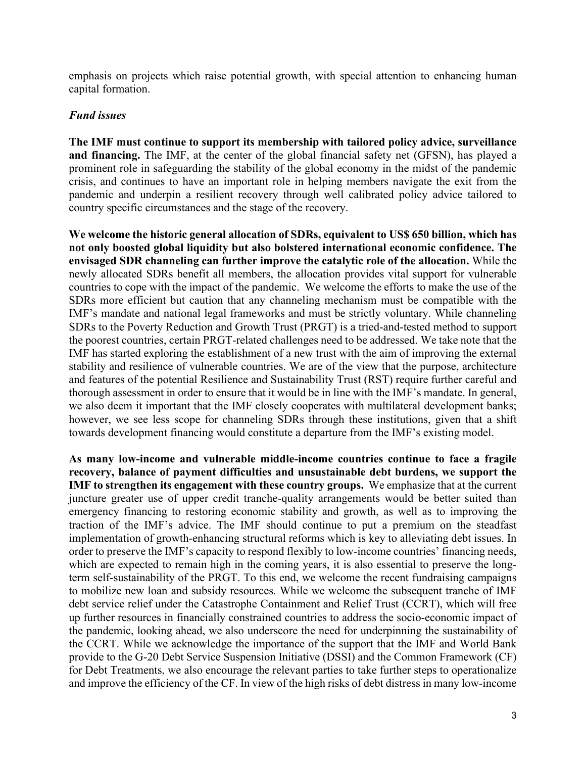emphasis on projects which raise potential growth, with special attention to enhancing human capital formation.

#### *Fund issues*

**The IMF must continue to support its membership with tailored policy advice, surveillance and financing.** The IMF, at the center of the global financial safety net (GFSN), has played a prominent role in safeguarding the stability of the global economy in the midst of the pandemic crisis, and continues to have an important role in helping members navigate the exit from the pandemic and underpin a resilient recovery through well calibrated policy advice tailored to country specific circumstances and the stage of the recovery.

**We welcome the historic general allocation of SDRs, equivalent to US\$ 650 billion, which has not only boosted global liquidity but also bolstered international economic confidence. The envisaged SDR channeling can further improve the catalytic role of the allocation.** While the newly allocated SDRs benefit all members, the allocation provides vital support for vulnerable countries to cope with the impact of the pandemic. We welcome the efforts to make the use of the SDRs more efficient but caution that any channeling mechanism must be compatible with the IMF's mandate and national legal frameworks and must be strictly voluntary. While channeling SDRs to the Poverty Reduction and Growth Trust (PRGT) is a tried-and-tested method to support the poorest countries, certain PRGT-related challenges need to be addressed. We take note that the IMF has started exploring the establishment of a new trust with the aim of improving the external stability and resilience of vulnerable countries. We are of the view that the purpose, architecture and features of the potential Resilience and Sustainability Trust (RST) require further careful and thorough assessment in order to ensure that it would be in line with the IMF's mandate. In general, we also deem it important that the IMF closely cooperates with multilateral development banks; however, we see less scope for channeling SDRs through these institutions, given that a shift towards development financing would constitute a departure from the IMF's existing model.

**As many low-income and vulnerable middle-income countries continue to face a fragile recovery, balance of payment difficulties and unsustainable debt burdens, we support the IMF to strengthen its engagement with these country groups.** We emphasize that at the current juncture greater use of upper credit tranche-quality arrangements would be better suited than emergency financing to restoring economic stability and growth, as well as to improving the traction of the IMF's advice. The IMF should continue to put a premium on the steadfast implementation of growth-enhancing structural reforms which is key to alleviating debt issues. In order to preserve the IMF's capacity to respond flexibly to low-income countries' financing needs, which are expected to remain high in the coming years, it is also essential to preserve the longterm self-sustainability of the PRGT. To this end, we welcome the recent fundraising campaigns to mobilize new loan and subsidy resources. While we welcome the subsequent tranche of IMF debt service relief under the Catastrophe Containment and Relief Trust (CCRT), which will free up further resources in financially constrained countries to address the socio-economic impact of the pandemic, looking ahead, we also underscore the need for underpinning the sustainability of the CCRT. While we acknowledge the importance of the support that the IMF and World Bank provide to the G-20 Debt Service Suspension Initiative (DSSI) and the Common Framework (CF) for Debt Treatments, we also encourage the relevant parties to take further steps to operationalize and improve the efficiency of the CF. In view of the high risks of debt distress in many low-income